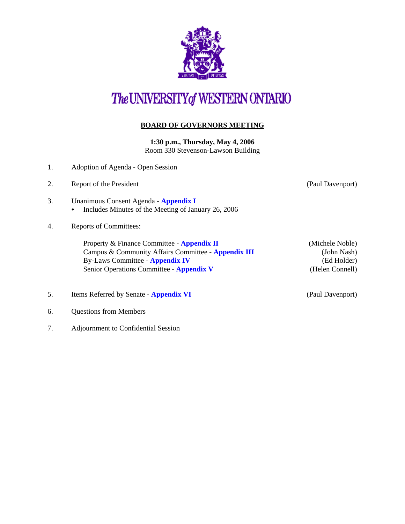

## The UNIVERSITY of WESTERN ONTARIO

## **BOARD OF GOVERNORS MEETING**

**1:30 p.m., Thursday, May 4, 2006** Room 330 Stevenson-Lawson Building

- 1. Adoption of Agenda Open Session
- 2. Report of the President (Paul Davenport)
- 3. Unanimous Consent Agenda **[Appendix I](http://www.uwo.ca/univsec/board/minutes/2006/r0605consent.pdf)** • Includes Minutes of the Meeting of January 26, 2006
- 4. Reports of Committees:

Property & Finance Committee - **[Appendix II](http://www.uwo.ca/univsec/board/minutes/2006/r0605pf.pdf)** (Michele Noble) Campus & Community Affairs Committee - **[Appendix III](http://www.uwo.ca/univsec/board/minutes/2006/r0605ccac.pdf)** (John Nash) By-Laws Committee - **[Appendix IV](http://www.uwo.ca/univsec/board/minutes/2006/r0605bylaw.pdf)** (Ed Holder) Senior Operations Committee - **[Appendix V](http://www.uwo.ca/univsec/board/minutes/2006/r0605srops.pdf)** (Helen Connell)

- 5. Items Referred by Senate **[Appendix VI](http://www.uwo.ca/univsec/board/minutes/2006/r0605sen.pdf)** (Paul Davenport)
- 6. Questions from Members
- 7. Adjournment to Confidential Session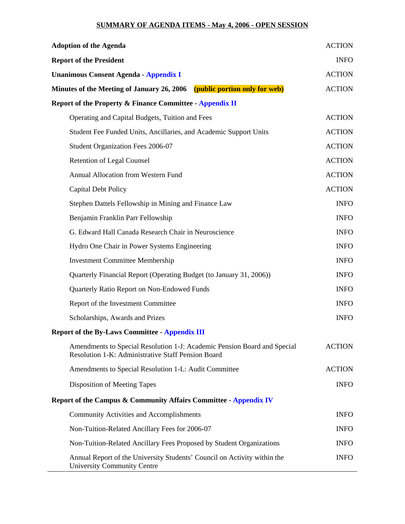## **SUMMARY OF AGENDA ITEMS - May 4, 2006 - OPEN SESSION**

| <b>Adoption of the Agenda</b>                                                                                                  | <b>ACTION</b> |
|--------------------------------------------------------------------------------------------------------------------------------|---------------|
| <b>Report of the President</b>                                                                                                 | <b>INFO</b>   |
| <b>Unanimous Consent Agenda - Appendix I</b>                                                                                   | <b>ACTION</b> |
| Minutes of the Meeting of January 26, 2006 (public portion only for web)                                                       | <b>ACTION</b> |
| <b>Report of the Property &amp; Finance Committee - Appendix II</b>                                                            |               |
| Operating and Capital Budgets, Tuition and Fees                                                                                | <b>ACTION</b> |
| Student Fee Funded Units, Ancillaries, and Academic Support Units                                                              | <b>ACTION</b> |
| Student Organization Fees 2006-07                                                                                              | <b>ACTION</b> |
| <b>Retention of Legal Counsel</b>                                                                                              | <b>ACTION</b> |
| Annual Allocation from Western Fund                                                                                            | <b>ACTION</b> |
| <b>Capital Debt Policy</b>                                                                                                     | <b>ACTION</b> |
| Stephen Dattels Fellowship in Mining and Finance Law                                                                           | <b>INFO</b>   |
| Benjamin Franklin Parr Fellowship                                                                                              | <b>INFO</b>   |
| G. Edward Hall Canada Research Chair in Neuroscience                                                                           | <b>INFO</b>   |
| Hydro One Chair in Power Systems Engineering                                                                                   | <b>INFO</b>   |
| <b>Investment Committee Membership</b>                                                                                         | <b>INFO</b>   |
| Quarterly Financial Report (Operating Budget (to January 31, 2006))                                                            | <b>INFO</b>   |
| Quarterly Ratio Report on Non-Endowed Funds                                                                                    | <b>INFO</b>   |
| Report of the Investment Committee                                                                                             | <b>INFO</b>   |
| Scholarships, Awards and Prizes                                                                                                | <b>INFO</b>   |
| <b>Report of the By-Laws Committee - Appendix III</b>                                                                          |               |
| Amendments to Special Resolution 1-J: Academic Pension Board and Special<br>Resolution 1-K: Administrative Staff Pension Board | <b>ACTION</b> |
| Amendments to Special Resolution 1-L: Audit Committee                                                                          | <b>ACTION</b> |
| Disposition of Meeting Tapes                                                                                                   | <b>INFO</b>   |
| Report of the Campus & Community Affairs Committee - Appendix IV                                                               |               |
| <b>Community Activities and Accomplishments</b>                                                                                | <b>INFO</b>   |
| Non-Tuition-Related Ancillary Fees for 2006-07                                                                                 | <b>INFO</b>   |
| Non-Tuition-Related Ancillary Fees Proposed by Student Organizations                                                           | <b>INFO</b>   |
| Annual Report of the University Students' Council on Activity within the<br><b>University Community Centre</b>                 | <b>INFO</b>   |